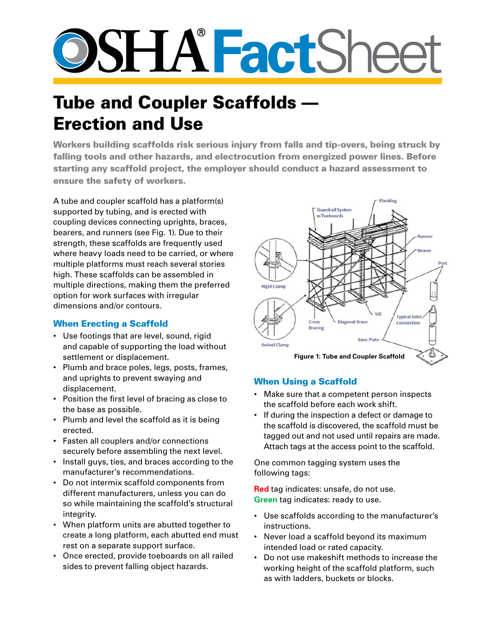# **SSHA FactSheet**

# Tube and Coupler Scaffolds — Erection and Use

Workers building scaffolds risk serious injury from falls and tip-overs, being struck by falling tools and other hazards, and electrocution from energized power lines. Before starting any scaffold project, the employer should conduct a hazard assessment to ensure the safety of workers.

A tube and coupler scaffold has a platform(s) supported by tubing, and is erected with coupling devices connecting uprights, braces, bearers, and runners (see Fig. 1). Due to their strength, these scaffolds are frequently used where heavy loads need to be carried, or where multiple platforms must reach several stories high. These scaffolds can be assembled in multiple directions, making them the preferred option for work surfaces with irregular dimensions and/or contours.

## When Erecting a Scaffold

- • Use footings that are level, sound, rigid and capable of supporting the load without settlement or displacement.
- • Plumb and brace poles, legs, posts, frames, and uprights to prevent swaying and displacement.
- Position the first level of bracing as close to the base as possible.
- • Plumb and level the scaffold as it is being erected.
- • Fasten all couplers and/or connections securely before assembling the next level.
- Install guys, ties, and braces according to the manufacturer's recommendations.
- Do not intermix scaffold components from different manufacturers, unless you can do so while maintaining the scaffold's structural integrity.
- When platform units are abutted together to create a long platform, each abutted end must rest on a separate support surface.
- Once erected, provide toeboards on all railed sides to prevent falling object hazards.



## When Using a Scaffold

- Make sure that a competent person inspects the scaffold before each work shift.
- If during the inspection a defect or damage to the scaffold is discovered, the scaffold must be tagged out and not used until repairs are made. Attach tags at the access point to the scaffold.

One common tagging system uses the following tags:

**Red** tag indicates: unsafe, do not use. **Green** tag indicates: ready to use.

- • Use scaffolds according to the manufacturer's instructions.
- Never load a scaffold beyond its maximum intended load or rated capacity.
- • Do not use makeshift methods to increase the working height of the scaffold platform, such as with ladders, buckets or blocks.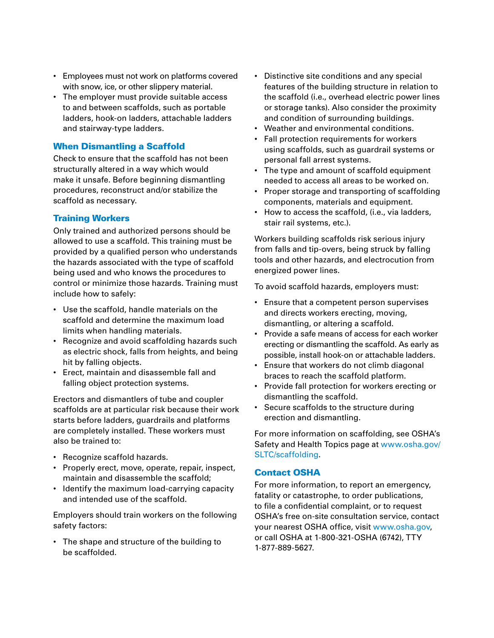- • Employees must not work on platforms covered with snow, ice, or other slippery material.
- The employer must provide suitable access to and between scaffolds, such as portable ladders, hook-on ladders, attachable ladders and stairway-type ladders.

#### When Dismantling a Scaffold

Check to ensure that the scaffold has not been structurally altered in a way which would make it unsafe. Before beginning dismantling procedures, reconstruct and/or stabilize the scaffold as necessary.

#### Training Workers

Only trained and authorized persons should be allowed to use a scaffold. This training must be provided by a qualified person who understands the hazards associated with the type of scaffold being used and who knows the procedures to control or minimize those hazards. Training must include how to safely:

- • Use the scaffold, handle materials on the scaffold and determine the maximum load limits when handling materials.
- Recognize and avoid scaffolding hazards such as electric shock, falls from heights, and being hit by falling objects.
- • Erect, maintain and disassemble fall and falling object protection systems.

Erectors and dismantlers of tube and coupler scaffolds are at particular risk because their work starts before ladders, guardrails and platforms are completely installed. These workers must also be trained to:

- Recognize scaffold hazards.
- Properly erect, move, operate, repair, inspect, maintain and disassemble the scaffold;
- Identify the maximum load-carrying capacity and intended use of the scaffold.

Employers should train workers on the following safety factors:

• The shape and structure of the building to be scaffolded.

- • Distinctive site conditions and any special features of the building structure in relation to the scaffold (i.e., overhead electric power lines or storage tanks). Also consider the proximity and condition of surrounding buildings.
- • Weather and environmental conditions.
- Fall protection requirements for workers using scaffolds, such as guardrail systems or personal fall arrest systems.
- The type and amount of scaffold equipment needed to access all areas to be worked on.
- Proper storage and transporting of scaffolding components, materials and equipment.
- • How to access the scaffold, (i.e., via ladders, stair rail systems, etc.).

Workers building scaffolds risk serious injury from falls and tip-overs, being struck by falling tools and other hazards, and electrocution from energized power lines.

To avoid scaffold hazards, employers must:

- • Ensure that a competent person supervises and directs workers erecting, moving, dismantling, or altering a scaffold.
- • Provide a safe means of access for each worker erecting or dismantling the scaffold. As early as possible, install hook-on or attachable ladders.
- Ensure that workers do not climb diagonal braces to reach the scaffold platform.
- Provide fall protection for workers erecting or dismantling the scaffold.
- • Secure scaffolds to the structure during erection and dismantling.

For more information on scaffolding, see OSHA's Safety and Health Topics page at [www.osha.gov/](http://www.osha.gov/SLTC/scaffolding) [SLTC/scaffolding.](http://www.osha.gov/SLTC/scaffolding)

#### Contact OSHA

For more information, to report an emergency, fatality or catastrophe, to order publications, to file a confidential complaint, or to request OSHA's free on-site consultation service, contact your nearest OSHA office, visit [www.osha.gov](http://www.osha.gov), or call OSHA at 1-800-321-OSHA (6742), TTY 1-877-889-5627.